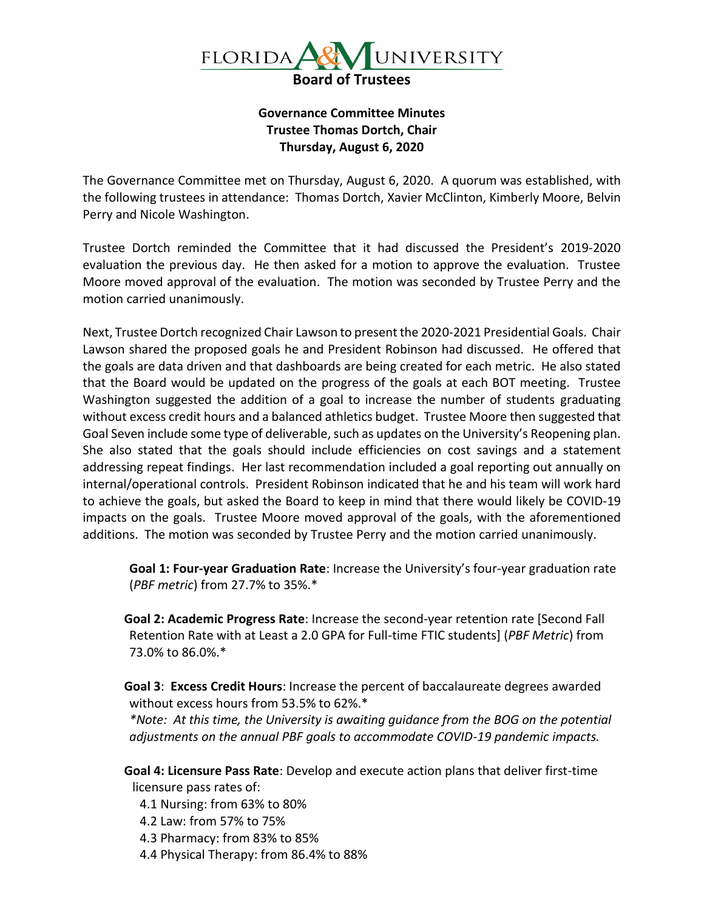

## **Governance Committee Minutes Trustee Thomas Dortch, Chair Thursday, August 6, 2020**

The Governance Committee met on Thursday, August 6, 2020. A quorum was established, with the following trustees in attendance: Thomas Dortch, Xavier McClinton, Kimberly Moore, Belvin Perry and Nicole Washington.

Trustee Dortch reminded the Committee that it had discussed the President's 2019-2020 evaluation the previous day. He then asked for a motion to approve the evaluation. Trustee Moore moved approval of the evaluation. The motion was seconded by Trustee Perry and the motion carried unanimously.

Next, Trustee Dortch recognized Chair Lawson to present the 2020-2021 Presidential Goals. Chair Lawson shared the proposed goals he and President Robinson had discussed. He offered that the goals are data driven and that dashboards are being created for each metric. He also stated that the Board would be updated on the progress of the goals at each BOT meeting. Trustee Washington suggested the addition of a goal to increase the number of students graduating without excess credit hours and a balanced athletics budget. Trustee Moore then suggested that Goal Seven include some type of deliverable, such as updates on the University's Reopening plan. She also stated that the goals should include efficiencies on cost savings and a statement addressing repeat findings. Her last recommendation included a goal reporting out annually on internal/operational controls. President Robinson indicated that he and his team will work hard to achieve the goals, but asked the Board to keep in mind that there would likely be COVID-19 impacts on the goals. Trustee Moore moved approval of the goals, with the aforementioned additions. The motion was seconded by Trustee Perry and the motion carried unanimously.

**Goal 1: Four-year Graduation Rate**: Increase the University's four-year graduation rate (*PBF metric*) from 27.7% to 35%.\*

**Goal 2: Academic Progress Rate**: Increase the second-year retention rate [Second Fall Retention Rate with at Least a 2.0 GPA for Full-time FTIC students] (*PBF Metric*) from 73.0% to 86.0%.\*

**Goal 3**: **Excess Credit Hours**: Increase the percent of baccalaureate degrees awarded without excess hours from 53.5% to 62%.\*

*\*Note: At this time, the University is awaiting guidance from the BOG on the potential adjustments on the annual PBF goals to accommodate COVID-19 pandemic impacts.* 

**Goal 4: Licensure Pass Rate**: Develop and execute action plans that deliver first-time licensure pass rates of:

4.1 Nursing: from 63% to 80%

- 4.2 Law: from 57% to 75%
- 4.3 Pharmacy: from 83% to 85%
- 4.4 Physical Therapy: from 86.4% to 88%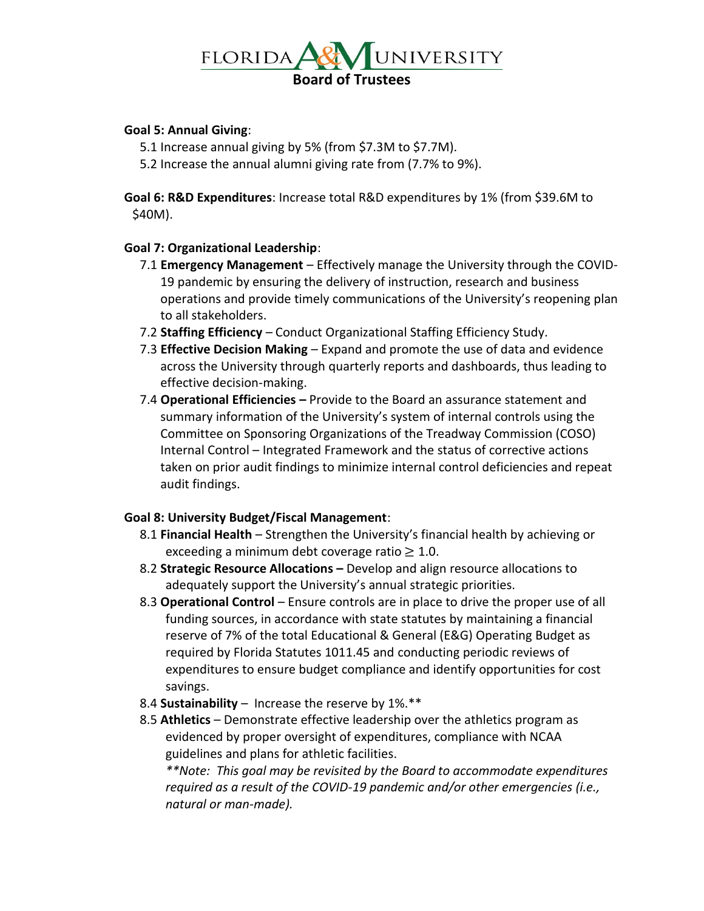

## **Goal 5: Annual Giving**:

- 5.1 Increase annual giving by 5% (from \$7.3M to \$7.7M).
- 5.2 Increase the annual alumni giving rate from (7.7% to 9%).

**Goal 6: R&D Expenditures**: Increase total R&D expenditures by 1% (from \$39.6M to \$40M).

## **Goal 7: Organizational Leadership**:

- 7.1 **Emergency Management**  Effectively manage the University through the COVID-19 pandemic by ensuring the delivery of instruction, research and business operations and provide timely communications of the University's reopening plan to all stakeholders.
- 7.2 **Staffing Efficiency** Conduct Organizational Staffing Efficiency Study.
- 7.3 **Effective Decision Making** Expand and promote the use of data and evidence across the University through quarterly reports and dashboards, thus leading to effective decision-making.
- 7.4 **Operational Efficiencies –** Provide to the Board an assurance statement and summary information of the University's system of internal controls using the Committee on Sponsoring Organizations of the Treadway Commission (COSO) Internal Control – Integrated Framework and the status of corrective actions taken on prior audit findings to minimize internal control deficiencies and repeat audit findings.

## **Goal 8: University Budget/Fiscal Management**:

- 8.1 **Financial Health**  Strengthen the University's financial health by achieving or exceeding a minimum debt coverage ratio  $\geq 1.0$ .
- 8.2 **Strategic Resource Allocations –** Develop and align resource allocations to adequately support the University's annual strategic priorities.
- 8.3 **Operational Control** Ensure controls are in place to drive the proper use of all funding sources, in accordance with state statutes by maintaining a financial reserve of 7% of the total Educational & General (E&G) Operating Budget as required by Florida Statutes 1011.45 and conducting periodic reviews of expenditures to ensure budget compliance and identify opportunities for cost savings.
- 8.4 **Sustainability** Increase the reserve by 1%.\*\*
- 8.5 **Athletics**  Demonstrate effective leadership over the athletics program as evidenced by proper oversight of expenditures, compliance with NCAA guidelines and plans for athletic facilities.

*\*\*Note: This goal may be revisited by the Board to accommodate expenditures required as a result of the COVID-19 pandemic and/or other emergencies (i.e., natural or man-made).*